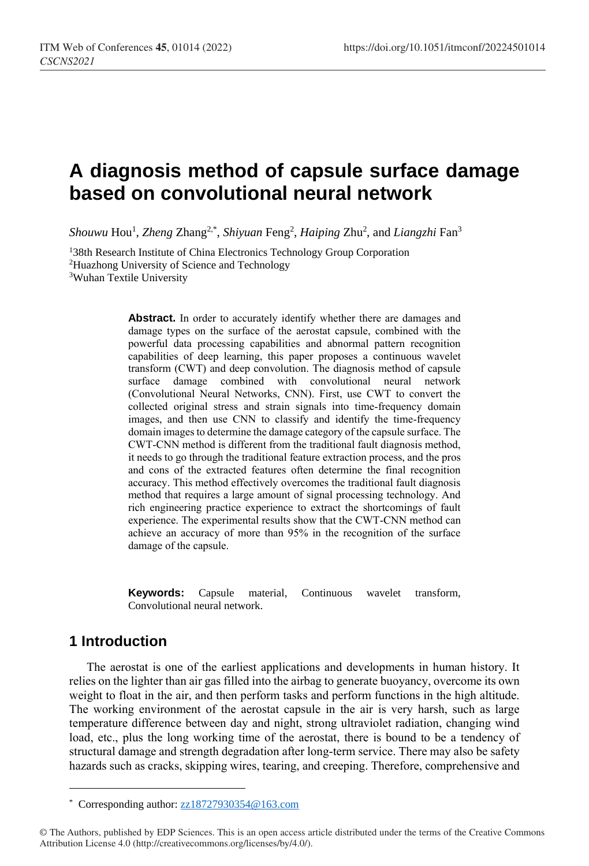# **A diagnosis method of capsule surface damage based on convolutional neural network**

Shouwu Hou<sup>1</sup>, *Zheng Zhang<sup>2,\*</sup>, Shiyuan Feng<sup>2</sup>, Haiping Zhu<sup>2</sup>, and <i>Liangzhi* Fan<sup>3</sup>

<sup>1</sup>38th Research Institute of China Electronics Technology Group Corporation <sup>2</sup>Huazhong University of Science and Technology <sup>3</sup>Wuhan Textile University

> Abstract. In order to accurately identify whether there are damages and damage types on the surface of the aerostat capsule, combined with the powerful data processing capabilities and abnormal pattern recognition capabilities of deep learning, this paper proposes a continuous wavelet transform (CWT) and deep convolution. The diagnosis method of capsule surface damage combined with convolutional neural network (Convolutional Neural Networks, CNN). First, use CWT to convert the collected original stress and strain signals into time-frequency domain images, and then use CNN to classify and identify the time-frequency domain images to determine the damage category of the capsule surface. The CWT-CNN method is different from the traditional fault diagnosis method, it needs to go through the traditional feature extraction process, and the pros and cons of the extracted features often determine the final recognition accuracy. This method effectively overcomes the traditional fault diagnosis method that requires a large amount of signal processing technology. And rich engineering practice experience to extract the shortcomings of fault experience. The experimental results show that the CWT-CNN method can achieve an accuracy of more than 95% in the recognition of the surface damage of the capsule.

> **Keywords:** Capsule material, Continuous wavelet transform, Convolutional neural network.

## **1 Introduction**

 $\overline{a}$ 

The aerostat is one of the earliest applications and developments in human history. It relies on the lighter than air gas filled into the airbag to generate buoyancy, overcome its own weight to float in the air, and then perform tasks and perform functions in the high altitude. The working environment of the aerostat capsule in the air is very harsh, such as large temperature difference between day and night, strong ultraviolet radiation, changing wind load, etc., plus the long working time of the aerostat, there is bound to be a tendency of structural damage and strength degradation after long-term service. There may also be safety hazards such as cracks, skipping wires, tearing, and creeping. Therefore, comprehensive and

<sup>\*</sup> Corresponding author[: zz18727930354@163.com](mailto:zz18727930354@163.com)

<sup>©</sup> The Authors, published by EDP Sciences. This is an open access article distributed under the terms of the Creative Commons Attribution License 4.0 (http://creativecommons.org/licenses/by/4.0/).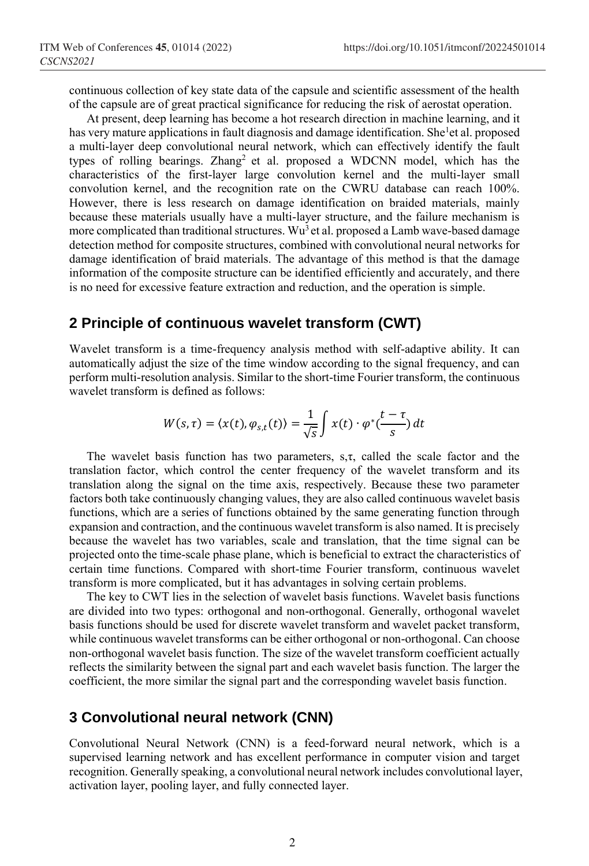continuous collection of key state data of the capsule and scientific assessment of the health of the capsule are of great practical significance for reducing the risk of aerostat operation.

At present, deep learning has become a hot research direction in machine learning, and it has v[e](#page-5-0)ry mature applications in fault diagnosis and damage identification. She<sup>1</sup>et al. proposed a multi-layer deep convolutional neural network, which can effectively identify the fault types of rolling bearings. Zhang<sup>[2](#page-5-1)</sup> et al. proposed a WDCNN model, which has the characteristics of the first-layer large convolution kernel and the multi-layer small convolution kernel, and the recognition rate on the CWRU database can reach 100%. However, there is less research on damage identification on braided materials, mainly because these materials usually have a multi-layer structure, and the failure mechanism is more complicated than traditional str[u](#page-5-2)ctures. Wu<sup>3</sup> et al. proposed a Lamb wave-based damage detection method for composite structures, combined with convolutional neural networks for damage identification of braid materials. The advantage of this method is that the damage information of the composite structure can be identified efficiently and accurately, and there is no need for excessive feature extraction and reduction, and the operation is simple.

### **2 Principle of continuous wavelet transform (CWT)**

Wavelet transform is a time-frequency analysis method with self-adaptive ability. It can automatically adjust the size of the time window according to the signal frequency, and can perform multi-resolution analysis. Similar to the short-time Fourier transform, the continuous wavelet transform is defined as follows:

$$
W(s,\tau) = \langle x(t), \varphi_{s,t}(t) \rangle = \frac{1}{\sqrt{s}} \int x(t) \cdot \varphi^* \left( \frac{t - \tau}{s} \right) dt
$$

The wavelet basis function has two parameters,  $s, \tau$ , called the scale factor and the translation factor, which control the center frequency of the wavelet transform and its translation along the signal on the time axis, respectively. Because these two parameter factors both take continuously changing values, they are also called continuous wavelet basis functions, which are a series of functions obtained by the same generating function through expansion and contraction, and the continuous wavelet transform is also named. It is precisely because the wavelet has two variables, scale and translation, that the time signal can be projected onto the time-scale phase plane, which is beneficial to extract the characteristics of certain time functions. Compared with short-time Fourier transform, continuous wavelet transform is more complicated, but it has advantages in solving certain problems.

The key to CWT lies in the selection of wavelet basis functions. Wavelet basis functions are divided into two types: orthogonal and non-orthogonal. Generally, orthogonal wavelet basis functions should be used for discrete wavelet transform and wavelet packet transform, while continuous wavelet transforms can be either orthogonal or non-orthogonal. Can choose non-orthogonal wavelet basis function. The size of the wavelet transform coefficient actually reflects the similarity between the signal part and each wavelet basis function. The larger the coefficient, the more similar the signal part and the corresponding wavelet basis function.

## **3 Convolutional neural network (CNN)**

Convolutional Neural Network (CNN) is a feed-forward neural network, which is a supervised learning network and has excellent performance in computer vision and target recognition. Generally speaking, a convolutional neural network includes convolutional layer, activation layer, pooling layer, and fully connected layer.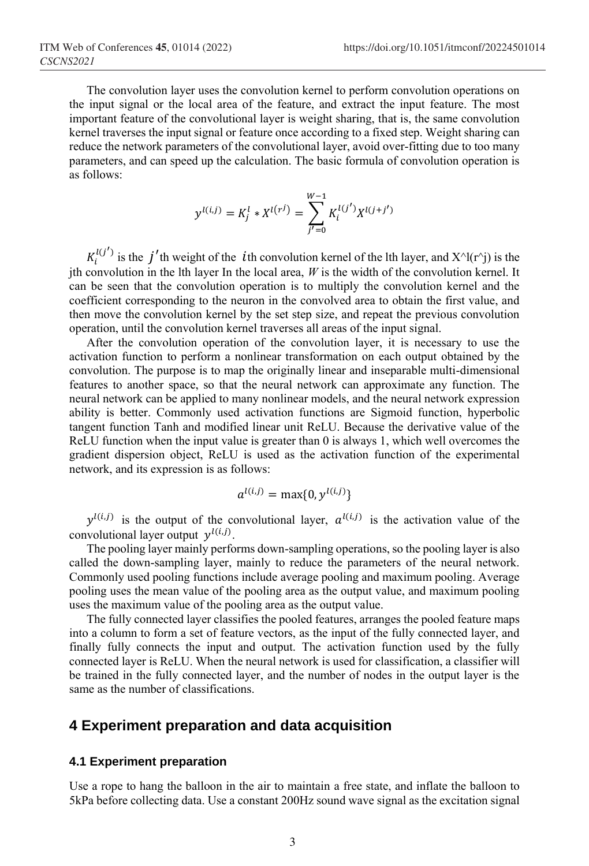The convolution layer uses the convolution kernel to perform convolution operations on the input signal or the local area of the feature, and extract the input feature. The most important feature of the convolutional layer is weight sharing, that is, the same convolution kernel traverses the input signal or feature once according to a fixed step. Weight sharing can reduce the network parameters of the convolutional layer, avoid over-fitting due to too many parameters, and can speed up the calculation. The basic formula of convolution operation is as follows:

$$
y^{l(i,j)} = K_j^l * X^{l(r^j)} = \sum_{j'=0}^{W-1} K_i^{l(j')} X^{l(j+j')}
$$

 $K_i^{l(j')}$  is the j'th weight of the ith convolution kernel of the lth layer, and  $X^{\wedge}l(r^{\wedge}j)$  is the ith convolution in the lth layer In the local area,  $W$  is the width of the convolution kernel. It can be seen that the convolution operation is to multiply the convolution kernel and the coefficient corresponding to the neuron in the convolved area to obtain the first value, and then move the convolution kernel by the set step size, and repeat the previous convolution operation, until the convolution kernel traverses all areas of the input signal.

After the convolution operation of the convolution layer, it is necessary to use the activation function to perform a nonlinear transformation on each output obtained by the convolution. The purpose is to map the originally linear and inseparable multi-dimensional features to another space, so that the neural network can approximate any function. The neural network can be applied to many nonlinear models, and the neural network expression ability is better. Commonly used activation functions are Sigmoid function, hyperbolic tangent function Tanh and modified linear unit ReLU. Because the derivative value of the ReLU function when the input value is greater than 0 is always 1, which well overcomes the gradient dispersion object, ReLU is used as the activation function of the experimental network, and its expression is as follows:

$$
a^{l(i,j)} = \max\{0, y^{l(i,j)}\}
$$

 $y^{l(i,j)}$  is the output of the convolutional layer,  $a^{l(i,j)}$  is the activation value of the convolutional layer output  $y^{l(i,j)}$ .

The pooling layer mainly performs down-sampling operations, so the pooling layer is also called the down-sampling layer, mainly to reduce the parameters of the neural network. Commonly used pooling functions include average pooling and maximum pooling. Average pooling uses the mean value of the pooling area as the output value, and maximum pooling uses the maximum value of the pooling area as the output value.

The fully connected layer classifies the pooled features, arranges the pooled feature maps into a column to form a set of feature vectors, as the input of the fully connected layer, and finally fully connects the input and output. The activation function used by the fully connected layer is ReLU. When the neural network is used for classification, a classifier will be trained in the fully connected layer, and the number of nodes in the output layer is the same as the number of classifications.

### **4 Experiment preparation and data acquisition**

#### **4.1 Experiment preparation**

Use a rope to hang the balloon in the air to maintain a free state, and inflate the balloon to 5kPa before collecting data. Use a constant 200Hz sound wave signal as the excitation signal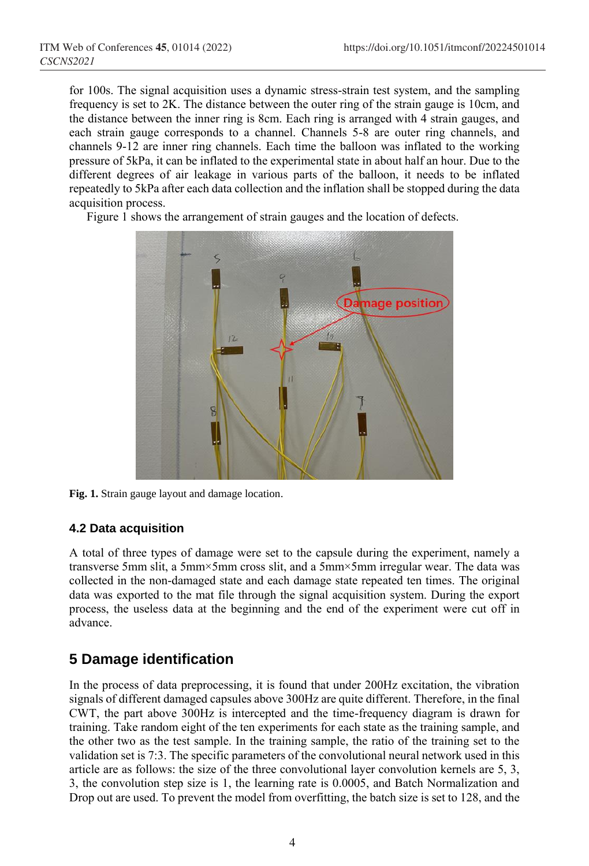for 100s. The signal acquisition uses a dynamic stress-strain test system, and the sampling frequency is set to 2K. The distance between the outer ring of the strain gauge is 10cm, and the distance between the inner ring is 8cm. Each ring is arranged with 4 strain gauges, and each strain gauge corresponds to a channel. Channels 5-8 are outer ring channels, and channels 9-12 are inner ring channels. Each time the balloon was inflated to the working pressure of 5kPa, it can be inflated to the experimental state in about half an hour. Due to the different degrees of air leakage in various parts of the balloon, it needs to be inflated repeatedly to 5kPa after each data collection and the inflation shall be stopped during the data acquisition process.

Figure 1 shows the arrangement of strain gauges and the location of defects.



**Fig. 1.** Strain gauge layout and damage location.

## **4.2 Data acquisition**

A total of three types of damage were set to the capsule during the experiment, namely a transverse 5mm slit, a 5mm×5mm cross slit, and a 5mm×5mm irregular wear. The data was collected in the non-damaged state and each damage state repeated ten times. The original data was exported to the mat file through the signal acquisition system. During the export process, the useless data at the beginning and the end of the experiment were cut off in advance.

## **5 Damage identification**

In the process of data preprocessing, it is found that under 200Hz excitation, the vibration signals of different damaged capsules above 300Hz are quite different. Therefore, in the final CWT, the part above 300Hz is intercepted and the time-frequency diagram is drawn for training. Take random eight of the ten experiments for each state as the training sample, and the other two as the test sample. In the training sample, the ratio of the training set to the validation set is 7:3. The specific parameters of the convolutional neural network used in this article are as follows: the size of the three convolutional layer convolution kernels are 5, 3, 3, the convolution step size is 1, the learning rate is 0.0005, and Batch Normalization and Drop out are used. To prevent the model from overfitting, the batch size is set to 128, and the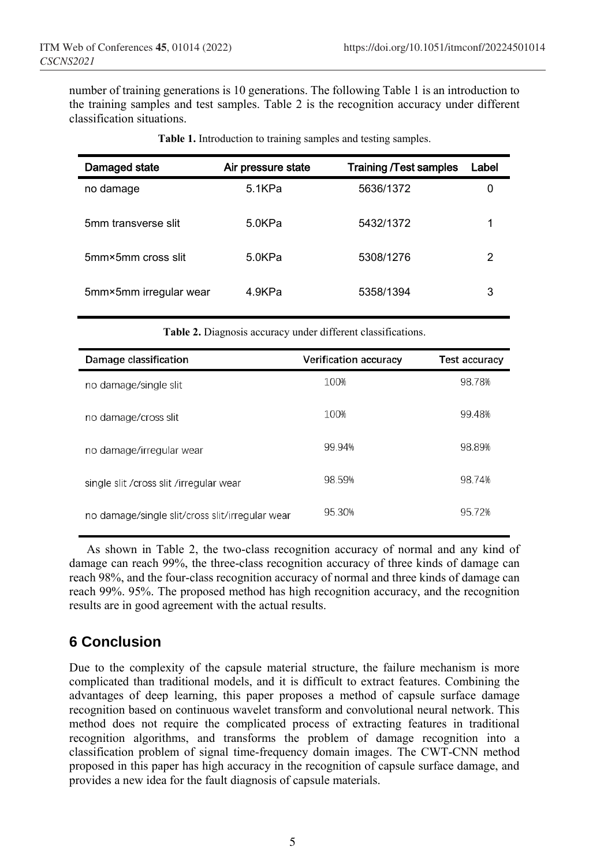number of training generations is 10 generations. The following Table 1 is an introduction to the training samples and test samples. Table 2 is the recognition accuracy under different classification situations.

| Damaged state          | Air pressure state | <b>Training /Test samples</b> | Label |
|------------------------|--------------------|-------------------------------|-------|
| no damage              | 5.1KPa             | 5636/1372                     |       |
| 5mm transverse slit    | 5.0KPa             | 5432/1372                     |       |
| 5mm×5mm cross slit     | 5.0KPa             | 5308/1276                     | 2     |
| 5mm×5mm irregular wear | 4.9KPa             | 5358/1394                     | 3     |

**Table 1.** Introduction to training samples and testing samples.

**Table 2.** Diagnosis accuracy under different classifications.

| Damage classification                           | <b>Verification accuracy</b> | <b>Test accuracy</b> |
|-------------------------------------------------|------------------------------|----------------------|
| no damage/single slit                           | 100%                         | 98.78%               |
| no damage/cross slit                            | 100%                         | 99.48%               |
| no damage/irregular wear                        | 99.94%                       | 98.89%               |
| single slit / cross slit / irregular wear       | 98.59%                       | 98.74%               |
| no damage/single slit/cross slit/irregular wear | 95.30%                       | 95.72%               |

As shown in Table 2, the two-class recognition accuracy of normal and any kind of damage can reach 99%, the three-class recognition accuracy of three kinds of damage can reach 98%, and the four-class recognition accuracy of normal and three kinds of damage can reach 99%. 95%. The proposed method has high recognition accuracy, and the recognition results are in good agreement with the actual results.

## **6 Conclusion**

Due to the complexity of the capsule material structure, the failure mechanism is more complicated than traditional models, and it is difficult to extract features. Combining the advantages of deep learning, this paper proposes a method of capsule surface damage recognition based on continuous wavelet transform and convolutional neural network. This method does not require the complicated process of extracting features in traditional recognition algorithms, and transforms the problem of damage recognition into a classification problem of signal time-frequency domain images. The CWT-CNN method proposed in this paper has high accuracy in the recognition of capsule surface damage, and provides a new idea for the fault diagnosis of capsule materials.